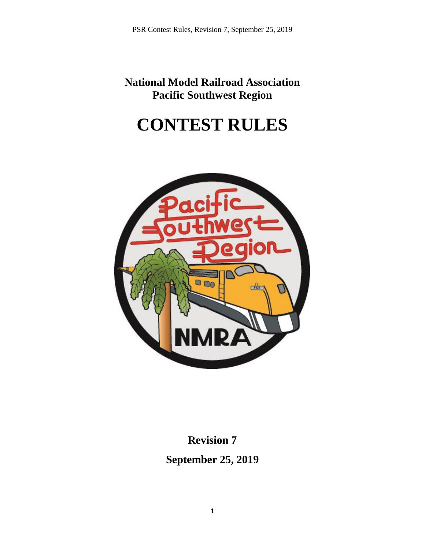**National Model Railroad Association Pacific Southwest Region**

# **CONTEST RULES**



**Revision 7 September 25, 2019**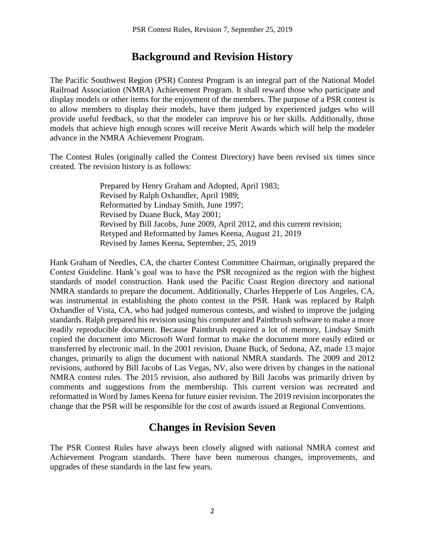# **Background and Revision History**

The Pacific Southwest Region (PSR) Contest Program is an integral part of the National Model Railroad Association (NMRA) Achievement Program. It shall reward those who participate and display models or other items for the enjoyment of the members. The purpose of a PSR contest is to allow members to display their models, have them judged by experienced judges who will provide useful feedback, so that the modeler can improve his or her skills. Additionally, those models that achieve high enough scores will receive Merit Awards which will help the modeler advance in the NMRA Achievement Program.

The Contest Rules (originally called the Contest Directory) have been revised six times since created. The revision history is as follows:

> Prepared by Henry Graham and Adopted, April 1983; Revised by Ralph Oxhandler, April 1989; Reformatted by Lindsay Smith, June 1997; Revised by Duane Buck, May 2001; Revised by Bill Jacobs, June 2009, April 2012, and this current revision; Retyped and Reformatted by James Keena, August 21, 2019 Revised by James Keena, September, 25, 2019

Hank Graham of Needles, CA, the charter Contest Committee Chairman, originally prepared the Contest Guideline. Hank's goal was to have the PSR recognized as the region with the highest standards of model construction. Hank used the Pacific Coast Region directory and national NMRA standards to prepare the document. Additionally, Charles Hepperle of Los Angeles, CA, was instrumental in establishing the photo contest in the PSR. Hank was replaced by Ralph Oxhandler of Vista, CA, who had judged numerous contests, and wished to improve the judging standards. Ralph prepared his revision using his computer and Paintbrush software to make a more readily reproducible document. Because Paintbrush required a lot of memory, Lindsay Smith copied the document into Microsoft Word format to make the document more easily edited or transferred by electronic mail. In the 2001 revision, Duane Buck, of Sedona, AZ, made 13 major changes, primarily to align the document with national NMRA standards. The 2009 and 2012 revisions, authored by Bill Jacobs of Las Vegas, NV, also were driven by changes in the national NMRA contest rules. The 2015 revision, also authored by Bill Jacobs was primarily driven by comments and suggestions from the membership. This current version was recreated and reformatted in Word by James Keena for future easier revision. The 2019 revision incorporates the change that the PSR will be responsible for the cost of awards issued at Regional Conventions.

# **Changes in Revision Seven**

The PSR Contest Rules have always been closely aligned with national NMRA contest and Achievement Program standards. There have been numerous changes, improvements, and upgrades of these standards in the last few years.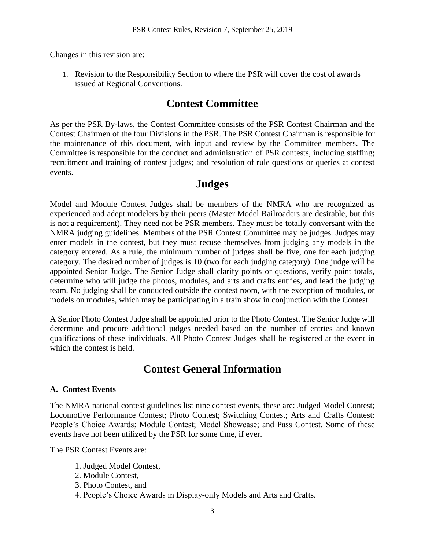Changes in this revision are:

1. Revision to the Responsibility Section to where the PSR will cover the cost of awards issued at Regional Conventions.

# **Contest Committee**

As per the PSR By-laws, the Contest Committee consists of the PSR Contest Chairman and the Contest Chairmen of the four Divisions in the PSR. The PSR Contest Chairman is responsible for the maintenance of this document, with input and review by the Committee members. The Committee is responsible for the conduct and administration of PSR contests, including staffing; recruitment and training of contest judges; and resolution of rule questions or queries at contest events.

# **Judges**

Model and Module Contest Judges shall be members of the NMRA who are recognized as experienced and adept modelers by their peers (Master Model Railroaders are desirable, but this is not a requirement). They need not be PSR members. They must be totally conversant with the NMRA judging guidelines. Members of the PSR Contest Committee may be judges. Judges may enter models in the contest, but they must recuse themselves from judging any models in the category entered. As a rule, the minimum number of judges shall be five, one for each judging category. The desired number of judges is 10 (two for each judging category). One judge will be appointed Senior Judge. The Senior Judge shall clarify points or questions, verify point totals, determine who will judge the photos, modules, and arts and crafts entries, and lead the judging team. No judging shall be conducted outside the contest room, with the exception of modules, or models on modules, which may be participating in a train show in conjunction with the Contest.

A Senior Photo Contest Judge shall be appointed prior to the Photo Contest. The Senior Judge will determine and procure additional judges needed based on the number of entries and known qualifications of these individuals. All Photo Contest Judges shall be registered at the event in which the contest is held.

# **Contest General Information**

## **A. Contest Events**

The NMRA national contest guidelines list nine contest events, these are: Judged Model Contest; Locomotive Performance Contest; Photo Contest; Switching Contest; Arts and Crafts Contest: People's Choice Awards; Module Contest; Model Showcase; and Pass Contest. Some of these events have not been utilized by the PSR for some time, if ever.

The PSR Contest Events are:

- 1. Judged Model Contest,
- 2. Module Contest,
- 3. Photo Contest, and
- 4. People's Choice Awards in Display-only Models and Arts and Crafts.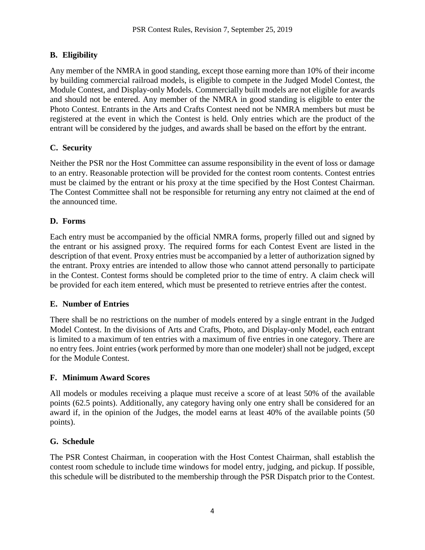# **B. Eligibility**

Any member of the NMRA in good standing, except those earning more than 10% of their income by building commercial railroad models, is eligible to compete in the Judged Model Contest, the Module Contest, and Display-only Models. Commercially built models are not eligible for awards and should not be entered. Any member of the NMRA in good standing is eligible to enter the Photo Contest. Entrants in the Arts and Crafts Contest need not be NMRA members but must be registered at the event in which the Contest is held. Only entries which are the product of the entrant will be considered by the judges, and awards shall be based on the effort by the entrant.

# **C. Security**

Neither the PSR nor the Host Committee can assume responsibility in the event of loss or damage to an entry. Reasonable protection will be provided for the contest room contents. Contest entries must be claimed by the entrant or his proxy at the time specified by the Host Contest Chairman. The Contest Committee shall not be responsible for returning any entry not claimed at the end of the announced time.

# **D. Forms**

Each entry must be accompanied by the official NMRA forms, properly filled out and signed by the entrant or his assigned proxy. The required forms for each Contest Event are listed in the description of that event. Proxy entries must be accompanied by a letter of authorization signed by the entrant. Proxy entries are intended to allow those who cannot attend personally to participate in the Contest. Contest forms should be completed prior to the time of entry. A claim check will be provided for each item entered, which must be presented to retrieve entries after the contest.

# **E. Number of Entries**

There shall be no restrictions on the number of models entered by a single entrant in the Judged Model Contest. In the divisions of Arts and Crafts, Photo, and Display-only Model, each entrant is limited to a maximum of ten entries with a maximum of five entries in one category. There are no entry fees. Joint entries (work performed by more than one modeler) shall not be judged, except for the Module Contest.

# **F. Minimum Award Scores**

All models or modules receiving a plaque must receive a score of at least 50% of the available points (62.5 points). Additionally, any category having only one entry shall be considered for an award if, in the opinion of the Judges, the model earns at least 40% of the available points (50 points).

# **G. Schedule**

The PSR Contest Chairman, in cooperation with the Host Contest Chairman, shall establish the contest room schedule to include time windows for model entry, judging, and pickup. If possible, this schedule will be distributed to the membership through the PSR Dispatch prior to the Contest.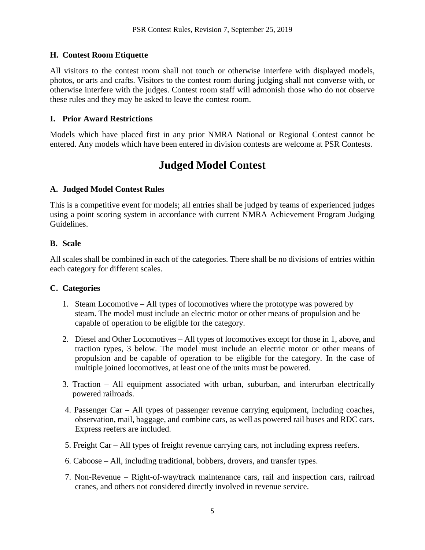# **H. Contest Room Etiquette**

All visitors to the contest room shall not touch or otherwise interfere with displayed models, photos, or arts and crafts. Visitors to the contest room during judging shall not converse with, or otherwise interfere with the judges. Contest room staff will admonish those who do not observe these rules and they may be asked to leave the contest room.

## **I. Prior Award Restrictions**

Models which have placed first in any prior NMRA National or Regional Contest cannot be entered. Any models which have been entered in division contests are welcome at PSR Contests.

# **Judged Model Contest**

# **A. Judged Model Contest Rules**

This is a competitive event for models; all entries shall be judged by teams of experienced judges using a point scoring system in accordance with current NMRA Achievement Program Judging Guidelines.

## **B. Scale**

All scales shall be combined in each of the categories. There shall be no divisions of entries within each category for different scales.

## **C. Categories**

- 1. Steam Locomotive All types of locomotives where the prototype was powered by steam. The model must include an electric motor or other means of propulsion and be capable of operation to be eligible for the category.
- 2. Diesel and Other Locomotives All types of locomotives except for those in 1, above, and traction types, 3 below. The model must include an electric motor or other means of propulsion and be capable of operation to be eligible for the category. In the case of multiple joined locomotives, at least one of the units must be powered.
- 3. Traction All equipment associated with urban, suburban, and interurban electrically powered railroads.
- 4. Passenger Car All types of passenger revenue carrying equipment, including coaches, observation, mail, baggage, and combine cars, as well as powered rail buses and RDC cars. Express reefers are included.
- 5. Freight Car All types of freight revenue carrying cars, not including express reefers.
- 6. Caboose All, including traditional, bobbers, drovers, and transfer types.
- 7. Non-Revenue Right-of-way/track maintenance cars, rail and inspection cars, railroad cranes, and others not considered directly involved in revenue service.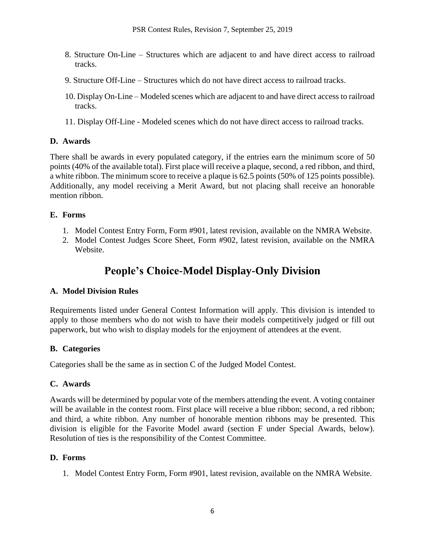- 8. Structure On-Line Structures which are adjacent to and have direct access to railroad tracks.
- 9. Structure Off-Line Structures which do not have direct access to railroad tracks.
- 10. Display On-Line Modeled scenes which are adjacent to and have direct access to railroad tracks.
- 11. Display Off-Line Modeled scenes which do not have direct access to railroad tracks.

# **D. Awards**

There shall be awards in every populated category, if the entries earn the minimum score of 50 points (40% of the available total). First place will receive a plaque, second, a red ribbon, and third, a white ribbon. The minimum score to receive a plaque is 62.5 points (50% of 125 points possible). Additionally, any model receiving a Merit Award, but not placing shall receive an honorable mention ribbon.

# **E. Forms**

- 1. Model Contest Entry Form, Form #901, latest revision, available on the NMRA Website.
- 2. Model Contest Judges Score Sheet, Form #902, latest revision, available on the NMRA Website.

# **People's Choice-Model Display-Only Division**

# **A. Model Division Rules**

Requirements listed under General Contest Information will apply. This division is intended to apply to those members who do not wish to have their models competitively judged or fill out paperwork, but who wish to display models for the enjoyment of attendees at the event.

# **B. Categories**

Categories shall be the same as in section C of the Judged Model Contest.

# **C. Awards**

Awards will be determined by popular vote of the members attending the event. A voting container will be available in the contest room. First place will receive a blue ribbon; second, a red ribbon; and third, a white ribbon. Any number of honorable mention ribbons may be presented. This division is eligible for the Favorite Model award (section F under Special Awards, below). Resolution of ties is the responsibility of the Contest Committee.

# **D. Forms**

1. Model Contest Entry Form, Form #901, latest revision, available on the NMRA Website.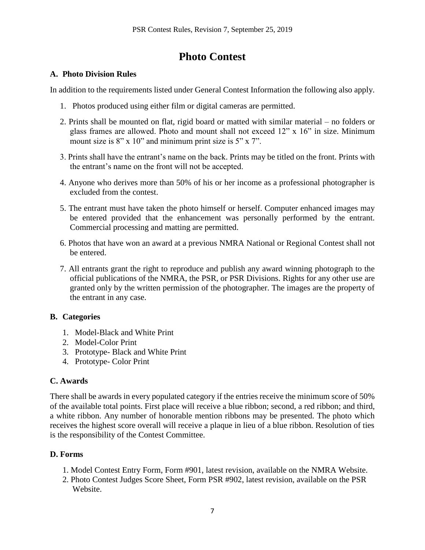# **Photo Contest**

# **A. Photo Division Rules**

In addition to the requirements listed under General Contest Information the following also apply.

- 1. Photos produced using either film or digital cameras are permitted.
- 2. Prints shall be mounted on flat, rigid board or matted with similar material no folders or glass frames are allowed. Photo and mount shall not exceed 12" x 16" in size. Minimum mount size is  $8"$  x 10" and minimum print size is  $5"$  x 7".
- 3. Prints shall have the entrant's name on the back. Prints may be titled on the front. Prints with the entrant's name on the front will not be accepted.
- 4. Anyone who derives more than 50% of his or her income as a professional photographer is excluded from the contest.
- 5. The entrant must have taken the photo himself or herself. Computer enhanced images may be entered provided that the enhancement was personally performed by the entrant. Commercial processing and matting are permitted.
- 6. Photos that have won an award at a previous NMRA National or Regional Contest shall not be entered.
- 7. All entrants grant the right to reproduce and publish any award winning photograph to the official publications of the NMRA, the PSR, or PSR Divisions. Rights for any other use are granted only by the written permission of the photographer. The images are the property of the entrant in any case.

# **B. Categories**

- 1. Model-Black and White Print
- 2. Model-Color Print
- 3. Prototype- Black and White Print
- 4. Prototype- Color Print

# **C. Awards**

There shall be awards in every populated category if the entries receive the minimum score of 50% of the available total points. First place will receive a blue ribbon; second, a red ribbon; and third, a white ribbon. Any number of honorable mention ribbons may be presented. The photo which receives the highest score overall will receive a plaque in lieu of a blue ribbon. Resolution of ties is the responsibility of the Contest Committee.

# **D. Forms**

- 1. Model Contest Entry Form, Form #901, latest revision, available on the NMRA Website.
- 2. Photo Contest Judges Score Sheet, Form PSR #902, latest revision, available on the PSR Website.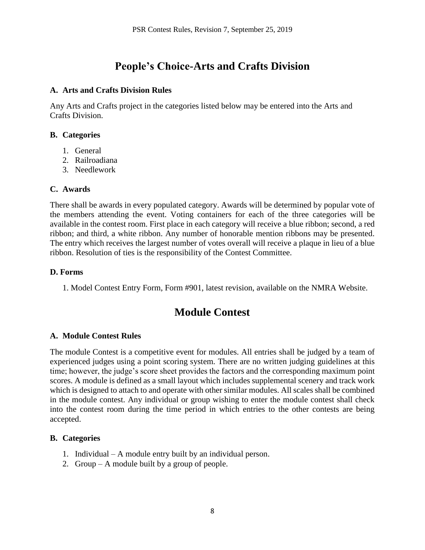# **People's Choice-Arts and Crafts Division**

#### **A. Arts and Crafts Division Rules**

Any Arts and Crafts project in the categories listed below may be entered into the Arts and Crafts Division.

#### **B. Categories**

- 1. General
- 2. Railroadiana
- 3. Needlework

#### **C. Awards**

There shall be awards in every populated category. Awards will be determined by popular vote of the members attending the event. Voting containers for each of the three categories will be available in the contest room. First place in each category will receive a blue ribbon; second, a red ribbon; and third, a white ribbon. Any number of honorable mention ribbons may be presented. The entry which receives the largest number of votes overall will receive a plaque in lieu of a blue ribbon. Resolution of ties is the responsibility of the Contest Committee.

#### **D. Forms**

1. Model Contest Entry Form, Form #901, latest revision, available on the NMRA Website.

# **Module Contest**

## **A. Module Contest Rules**

The module Contest is a competitive event for modules. All entries shall be judged by a team of experienced judges using a point scoring system. There are no written judging guidelines at this time; however, the judge's score sheet provides the factors and the corresponding maximum point scores. A module is defined as a small layout which includes supplemental scenery and track work which is designed to attach to and operate with other similar modules. All scales shall be combined in the module contest. Any individual or group wishing to enter the module contest shall check into the contest room during the time period in which entries to the other contests are being accepted.

#### **B. Categories**

- 1. Individual A module entry built by an individual person.
- 2. Group A module built by a group of people.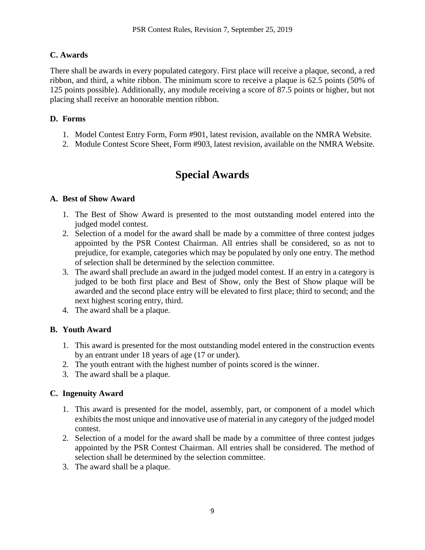# **C. Awards**

There shall be awards in every populated category. First place will receive a plaque, second, a red ribbon, and third, a white ribbon. The minimum score to receive a plaque is 62.5 points (50% of 125 points possible). Additionally, any module receiving a score of 87.5 points or higher, but not placing shall receive an honorable mention ribbon.

## **D. Forms**

- 1. Model Contest Entry Form, Form #901, latest revision, available on the NMRA Website.
- 2. Module Contest Score Sheet, Form #903, latest revision, available on the NMRA Website.

# **Special Awards**

## **A. Best of Show Award**

- 1. The Best of Show Award is presented to the most outstanding model entered into the judged model contest.
- 2. Selection of a model for the award shall be made by a committee of three contest judges appointed by the PSR Contest Chairman. All entries shall be considered, so as not to prejudice, for example, categories which may be populated by only one entry. The method of selection shall be determined by the selection committee.
- 3. The award shall preclude an award in the judged model contest. If an entry in a category is judged to be both first place and Best of Show, only the Best of Show plaque will be awarded and the second place entry will be elevated to first place; third to second; and the next highest scoring entry, third.
- 4. The award shall be a plaque.

# **B. Youth Award**

- 1. This award is presented for the most outstanding model entered in the construction events by an entrant under 18 years of age (17 or under).
- 2. The youth entrant with the highest number of points scored is the winner.
- 3. The award shall be a plaque.

# **C. Ingenuity Award**

- 1. This award is presented for the model, assembly, part, or component of a model which exhibits the most unique and innovative use of material in any category of the judged model contest.
- 2. Selection of a model for the award shall be made by a committee of three contest judges appointed by the PSR Contest Chairman. All entries shall be considered. The method of selection shall be determined by the selection committee.
- 3. The award shall be a plaque.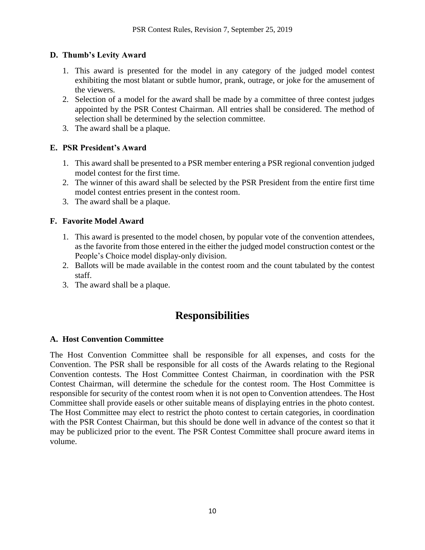## **D. Thumb's Levity Award**

- 1. This award is presented for the model in any category of the judged model contest exhibiting the most blatant or subtle humor, prank, outrage, or joke for the amusement of the viewers.
- 2. Selection of a model for the award shall be made by a committee of three contest judges appointed by the PSR Contest Chairman. All entries shall be considered. The method of selection shall be determined by the selection committee.
- 3. The award shall be a plaque.

# **E. PSR President's Award**

- 1. This award shall be presented to a PSR member entering a PSR regional convention judged model contest for the first time.
- 2. The winner of this award shall be selected by the PSR President from the entire first time model contest entries present in the contest room.
- 3. The award shall be a plaque.

# **F. Favorite Model Award**

- 1. This award is presented to the model chosen, by popular vote of the convention attendees, as the favorite from those entered in the either the judged model construction contest or the People's Choice model display-only division.
- 2. Ballots will be made available in the contest room and the count tabulated by the contest staff.
- 3. The award shall be a plaque.

# **Responsibilities**

## **A. Host Convention Committee**

The Host Convention Committee shall be responsible for all expenses, and costs for the Convention. The PSR shall be responsible for all costs of the Awards relating to the Regional Convention contests. The Host Committee Contest Chairman, in coordination with the PSR Contest Chairman, will determine the schedule for the contest room. The Host Committee is responsible for security of the contest room when it is not open to Convention attendees. The Host Committee shall provide easels or other suitable means of displaying entries in the photo contest. The Host Committee may elect to restrict the photo contest to certain categories, in coordination with the PSR Contest Chairman, but this should be done well in advance of the contest so that it may be publicized prior to the event. The PSR Contest Committee shall procure award items in volume.